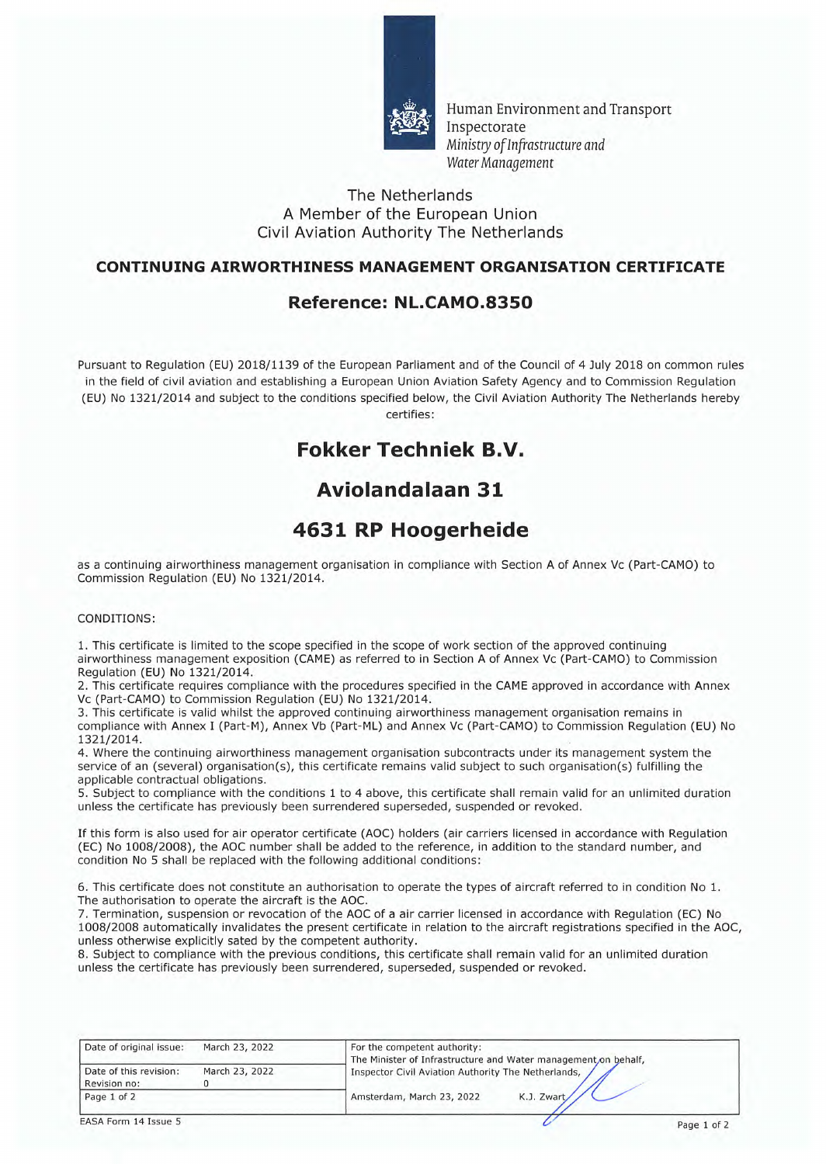

Human Environment and Transport Inspectorate Ministry *of Infrastructure and Water Management* 

#### The Netherlands A Member of the European Union Civil Aviation Authority The Netherlands

#### **CONTINUING AIRWORTHINESS MANAGEMENT ORGANISATION CERTIFICATE**

## **Reference: NL.CAMO.8350**

Pursuant to Regulation (EU) 2018/1139 of the European Parliament and of the Council of 4 July 2018 on common rules in the field of civil aviation and establishing a European Union Aviation Safety Agency and to Commission Regulation (EU) No 1321/2014 and subject to the conditions specified below, the Civil Aviation Authority The Netherlands hereby certifies:

# **Fokker Techniek B.V.**

# **Aviolandalaan 31**

## **4631 RP Hoogerheide**

as a continuing airworthiness management organisation in compliance with Section A of Annex Vc (Part-CAMO) to Commission Regulation (EU) No 1321/2014.

#### CONDITIONS:

1. This certificate is limited to the scope specified in the scope of work section of the approved continuing airworthiness management exposition (CAME) as referred to in Section A of Annex Vc (Part-CAMO) to Commission Regulation (EU) No 1321/2014.

2. This certificate requires compliance with the procedures specified in the CAME approved in accordance with Annex Vc (Part-CAMO) to Commission Regulation (EU) No 1321/2014.

3. This certificate is valid whilst the approved continuing airworthiness management organisation remains in compliance with Annex I (Part-M), Annex Vb (Part-ML) and Annex Vc (Part-CAMO) to Commission Regulation (EU) No 1321/2014.

4. Where the continuing airworthiness management organisation subcontracts under its management system the service of an (several) organisation(s), this certificate remains valid subject to such organisation(s) fulfilling the applicable contractual obligations.

5. Subject to compliance with the conditions 1 to 4 above, this certificate shall remain valid for an unlimited duration unless the certificate has previously been surrendered superseded, suspended or revoked.

If this form is also used for air operator certificate (AOC) holders (air carriers licensed in accordance with Regulation (EC) No 1008/2008), the AOC number shall be added to the reference, in addition to the standard number, and condition No 5 shall be replaced with the following additional conditions:

6. This certificate does not constitute an authorisation to operate the types of aircraft referred to in condition No 1. The authorisation to operate the aircraft is the AOC.

7. Termination, suspension or revocation of the AOC of a air carrier licensed in accordance with Regulation (EC) No 1008/2008 automatically invalidates the present certificate in relation to the aircraft registrations specified in the AOC, unless otherwise explicitly sated by the competent authority.

8. Subject to compliance with the previous conditions, this certificate shall remain valid for an unlimited duration unless the certificate has previously been surrendered, superseded, suspended or revoked.

| Date of original issue:                | March 23, 2022 | For the competent authority:<br>The Minister of Infrastructure and Water management, on behalf, |  |
|----------------------------------------|----------------|-------------------------------------------------------------------------------------------------|--|
| Date of this revision:<br>Revision no: | March 23, 2022 | Unspector Civil Aviation Authority The Netherlands,                                             |  |
| Page 1 of 2                            |                | K.J. Zwart<br>Amsterdam, March 23, 2022                                                         |  |

EASA Form 14 Issue 5 Page 1 of 2